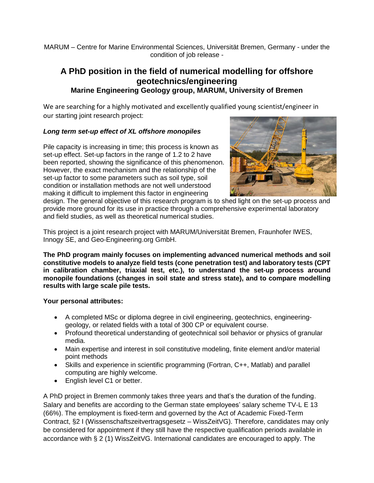MARUM – Centre for Marine Environmental Sciences, Universität Bremen, Germany - under the condition of job release -

## **A PhD position in the field of numerical modelling for offshore geotechnics/engineering Marine Engineering Geology group, MARUM, University of Bremen**

We are searching for a highly motivated and excellently qualified young scientist/engineer in our starting joint research project:

## *Long term set-up effect of XL offshore monopiles*

Pile capacity is increasing in time; this process is known as set-up effect. Set-up factors in the range of 1.2 to 2 have been reported, showing the significance of this phenomenon. However, the exact mechanism and the relationship of the set-up factor to some parameters such as soil type, soil condition or installation methods are not well understood making it difficult to implement this factor in engineering



design. The general objective of this research program is to shed light on the set-up process and provide more ground for its use in practice through a comprehensive experimental laboratory and field studies, as well as theoretical numerical studies.

This project is a joint research project with MARUM/Universität Bremen, Fraunhofer IWES, Innogy SE, and Geo-Engineering.org GmbH.

**The PhD program mainly focuses on implementing advanced numerical methods and soil constitutive models to analyze field tests (cone penetration test) and laboratory tests (CPT in calibration chamber, triaxial test, etc.), to understand the set-up process around monopile foundations (changes in soil state and stress state), and to compare modelling results with large scale pile tests.**

**Your personal attributes:**

- A completed MSc or diploma degree in civil engineering, geotechnics, engineeringgeology, or related fields with a total of 300 CP or equivalent course.
- Profound theoretical understanding of geotechnical soil behavior or physics of granular media.
- Main expertise and interest in soil constitutive modeling, finite element and/or material point methods
- Skills and experience in scientific programming (Fortran, C++, Matlab) and parallel computing are highly welcome.
- English level C1 or better.

A PhD project in Bremen commonly takes three years and that's the duration of the funding. Salary and benefits are according to the German state employees' salary scheme TV-L E 13 (66%). The employment is fixed-term and governed by the Act of Academic Fixed-Term Contract, §2 I (Wissenschaftszeitvertragsgesetz – WissZeitVG). Therefore, candidates may only be considered for appointment if they still have the respective qualification periods available in accordance with § 2 (1) WissZeitVG. International candidates are encouraged to apply. The